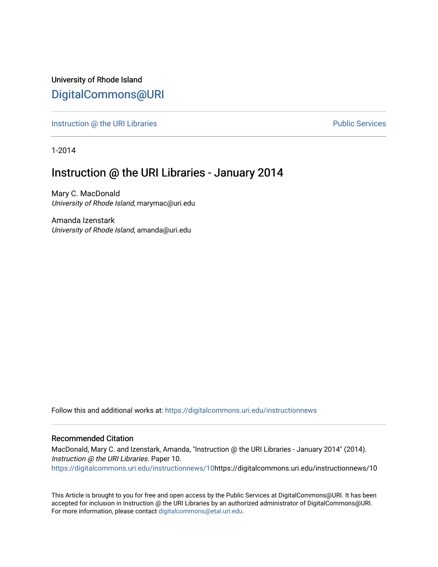University of Rhode Island [DigitalCommons@URI](https://digitalcommons.uri.edu/) 

[Instruction @ the URI Libraries](https://digitalcommons.uri.edu/instructionnews) **Public Services** Public Services

1-2014

## Instruction @ the URI Libraries - January 2014

Mary C. MacDonald University of Rhode Island, marymac@uri.edu

Amanda Izenstark University of Rhode Island, amanda@uri.edu

Follow this and additional works at: [https://digitalcommons.uri.edu/instructionnews](https://digitalcommons.uri.edu/instructionnews?utm_source=digitalcommons.uri.edu%2Finstructionnews%2F10&utm_medium=PDF&utm_campaign=PDFCoverPages)

#### Recommended Citation

MacDonald, Mary C. and Izenstark, Amanda, "Instruction @ the URI Libraries - January 2014" (2014). Instruction @ the URI Libraries. Paper 10. [https://digitalcommons.uri.edu/instructionnews/10h](https://digitalcommons.uri.edu/instructionnews/10?utm_source=digitalcommons.uri.edu%2Finstructionnews%2F10&utm_medium=PDF&utm_campaign=PDFCoverPages)ttps://digitalcommons.uri.edu/instructionnews/10

This Article is brought to you for free and open access by the Public Services at DigitalCommons@URI. It has been accepted for inclusion in Instruction @ the URI Libraries by an authorized administrator of DigitalCommons@URI. For more information, please contact [digitalcommons@etal.uri.edu](mailto:digitalcommons@etal.uri.edu).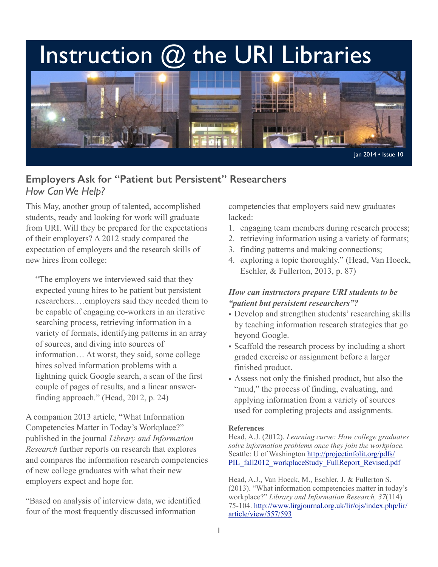# Instruction @ the URI Libraries



## **Employers Ask for "Patient but Persistent" Researchers** *How Can We Help?*

This May, another group of talented, accomplished students, ready and looking for work will graduate from URI. Will they be prepared for the expectations of their employers? A 2012 study compared the expectation of employers and the research skills of new hires from college:

"The employers we interviewed said that they expected young hires to be patient but persistent researchers.…employers said they needed them to be capable of engaging co-workers in an iterative searching process, retrieving information in a variety of formats, identifying patterns in an array of sources, and diving into sources of information… At worst, they said, some college hires solved information problems with a lightning quick Google search, a scan of the first couple of pages of results, and a linear answerfinding approach." (Head, 2012, p. 24)

A companion 2013 article, "What Information Competencies Matter in Today's Workplace?" published in the journal *Library and Information Research* further reports on research that explores and compares the information research competencies of new college graduates with what their new employers expect and hope for.

"Based on analysis of interview data, we identified four of the most frequently discussed information

competencies that employers said new graduates lacked:

- 1. engaging team members during research process;
- 2. retrieving information using a variety of formats;
- 3. finding patterns and making connections;
- 4. exploring a topic thoroughly." (Head, Van Hoeck, Eschler, & Fullerton, 2013, p. 87)

### *How can instructors prepare URI students to be "patient but persistent researchers"?*

- Develop and strengthen students' researching skills by teaching information research strategies that go beyond Google.
- Scaffold the research process by including a short graded exercise or assignment before a larger finished product.
- Assess not only the finished product, but also the "mud," the process of finding, evaluating, and applying information from a variety of sources used for completing projects and assignments.

#### **References**

Head, A.J. (2012). *Learning curve: How college graduates solve information problems once they join the workplace.*  Seattle: U of Washington http://projectinfolit.org/pdfs/ PIL\_fall2012\_workplaceStudy\_FullReport\_Revised.pdf

Head, A.J., Van Hoeck, M., Eschler, J. & Fullerton S. (2013). "What information competencies matter in today's workplace?" *Library and Information Research, 37*(114) [75-104. http://www.lirgjournal.org.uk/lir/ojs/index.php/lir/](http://www.lirgjournal.org.uk/lir/ojs/index.php/lir/article/view/557/593) article/view/557/593